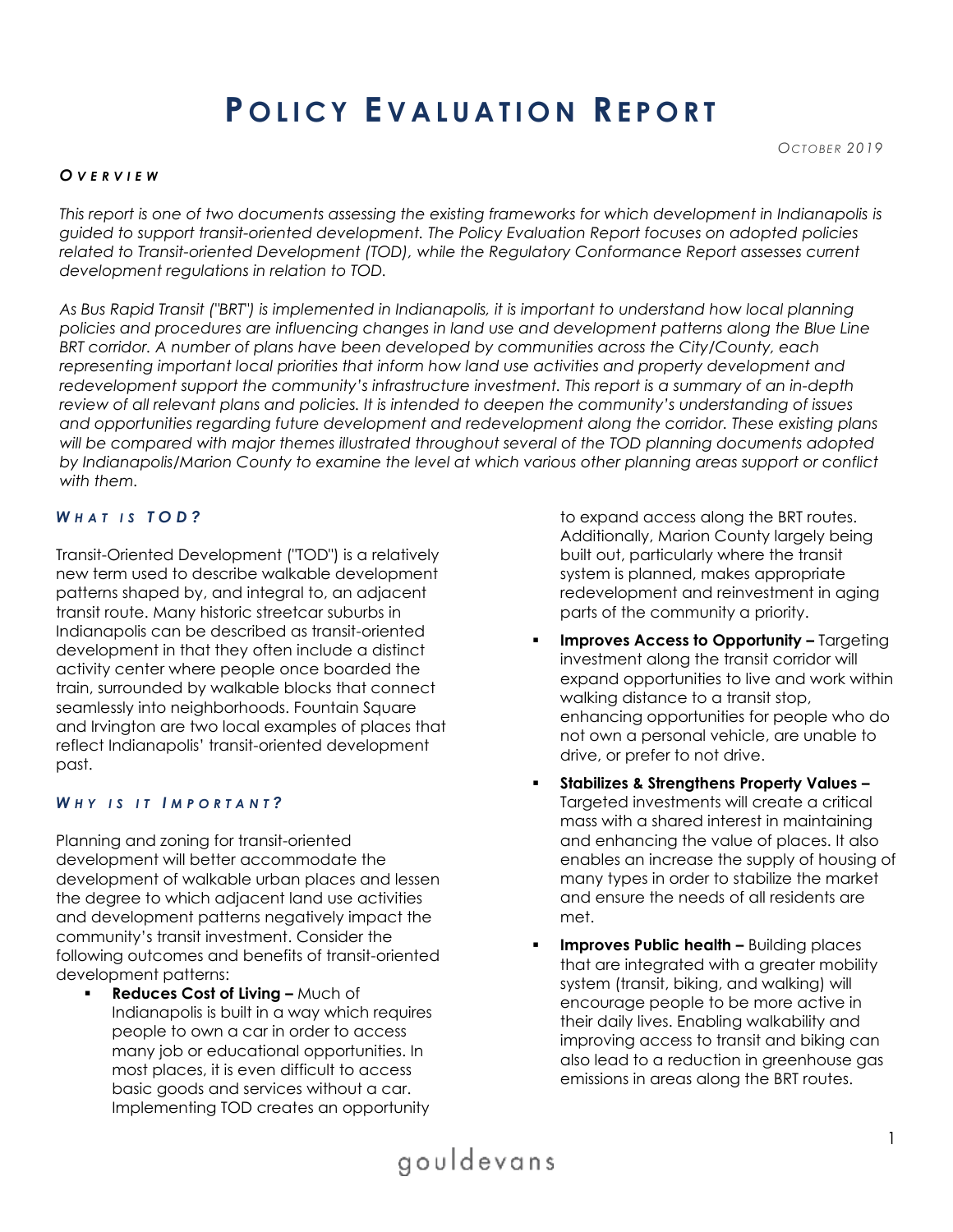# **P O L I C Y E V A L U A T I O N RE P O R T**

#### *O V E R V I E W*

*This report is one of two documents assessing the existing frameworks for which development in Indianapolis is guided to support transit-oriented development. The Policy Evaluation Report focuses on adopted policies related to Transit-oriented Development (TOD), while the Regulatory Conformance Report assesses current development regulations in relation to TOD.* 

*As Bus Rapid Transit ("BRT") is implemented in Indianapolis, it is important to understand how local planning policies and procedures are influencing changes in land use and development patterns along the Blue Line BRT corridor. A number of plans have been developed by communities across the City/County, each representing important local priorities that inform how land use activities and property development and redevelopment support the community's infrastructure investment. This report is a summary of an in-depth review of all relevant plans and policies. It is intended to deepen the community's understanding of issues and opportunities regarding future development and redevelopment along the corridor. These existing plans*  will be compared with major themes illustrated throughout several of the TOD planning documents adopted *by Indianapolis/Marion County to examine the level at which various other planning areas support or conflict with them.* 

#### *W H A T I S T O D ?*

Transit-Oriented Development ("TOD") is a relatively new term used to describe walkable development patterns shaped by, and integral to, an adjacent transit route. Many historic streetcar suburbs in Indianapolis can be described as transit-oriented development in that they often include a distinct activity center where people once boarded the train, surrounded by walkable blocks that connect seamlessly into neighborhoods. Fountain Square and Irvington are two local examples of places that reflect Indianapolis' transit-oriented development past.

#### *WHY IS IT IMPORTANT?*

Planning and zoning for transit-oriented development will better accommodate the development of walkable urban places and lessen the degree to which adjacent land use activities and development patterns negatively impact the community's transit investment. Consider the following outcomes and benefits of transit-oriented development patterns:

**Reduces Cost of Living - Much of** Indianapolis is built in a way which requires people to own a car in order to access many job or educational opportunities. In most places, it is even difficult to access basic goods and services without a car. Implementing TOD creates an opportunity

to expand access along the BRT routes. Additionally, Marion County largely being built out, particularly where the transit system is planned, makes appropriate redevelopment and reinvestment in aging parts of the community a priority.

- **Improves Access to Opportunity Targeting** investment along the transit corridor will expand opportunities to live and work within walking distance to a transit stop, enhancing opportunities for people who do not own a personal vehicle, are unable to drive, or prefer to not drive.
- **Stabilizes & Strengthens Property Values –** Targeted investments will create a critical mass with a shared interest in maintaining and enhancing the value of places. It also enables an increase the supply of housing of many types in order to stabilize the market and ensure the needs of all residents are met.
- **Improves Public health –** Building places that are integrated with a greater mobility system (transit, biking, and walking) will encourage people to be more active in their daily lives. Enabling walkability and improving access to transit and biking can also lead to a reduction in greenhouse gas emissions in areas along the BRT routes.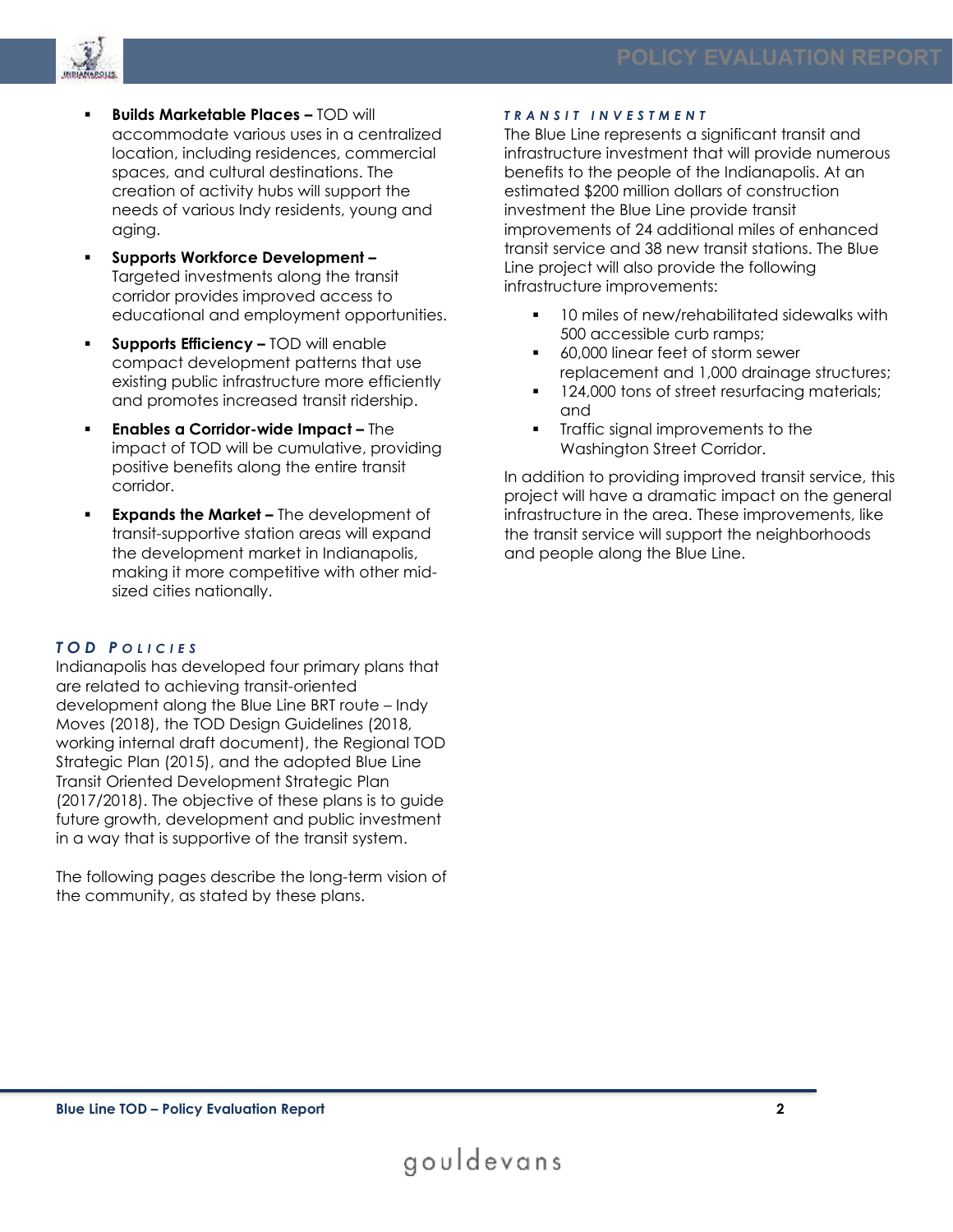

- **Builds Marketable Places –** TOD will accommodate various uses in a centralized location, including residences, commercial spaces, and cultural destinations. The creation of activity hubs will support the needs of various Indy residents, young and aging.
- **Supports Workforce Development –** Targeted investments along the transit corridor provides improved access to educational and employment opportunities.
- **Supports Efficiency –** TOD will enable compact development patterns that use existing public infrastructure more efficiently and promotes increased transit ridership.
- **Enables a Corridor-wide Impact –** The impact of TOD will be cumulative, providing positive benefits along the entire transit corridor.
- **Expands the Market –** The development of transit-supportive station areas will expand the development market in Indianapolis, making it more competitive with other midsized cities nationally.

#### *T O D P O L I C I E S*

Indianapolis has developed four primary plans that are related to achieving transit-oriented development along the Blue Line BRT route – Indy Moves (2018), the TOD Design Guidelines (2018, working internal draft document), the Regional TOD Strategic Plan (2015), and the adopted Blue Line Transit Oriented Development Strategic Plan (2017/2018). The objective of these plans is to guide future growth, development and public investment in a way that is supportive of the transit system.

The following pages describe the long-term vision of the community, as stated by these plans.

#### *T R A N S I T I N V E S T M E N T*

The Blue Line represents a significant transit and infrastructure investment that will provide numerous benefits to the people of the Indianapolis. At an estimated \$200 million dollars of construction investment the Blue Line provide transit improvements of 24 additional miles of enhanced transit service and 38 new transit stations. The Blue Line project will also provide the following infrastructure improvements:

- 10 miles of new/rehabilitated sidewalks with 500 accessible curb ramps;
- 60,000 linear feet of storm sewer replacement and 1,000 drainage structures;
- 124,000 tons of street resurfacing materials; and
- **•** Traffic signal improvements to the Washington Street Corridor.

In addition to providing improved transit service, this project will have a dramatic impact on the general infrastructure in the area. These improvements, like the transit service will support the neighborhoods and people along the Blue Line.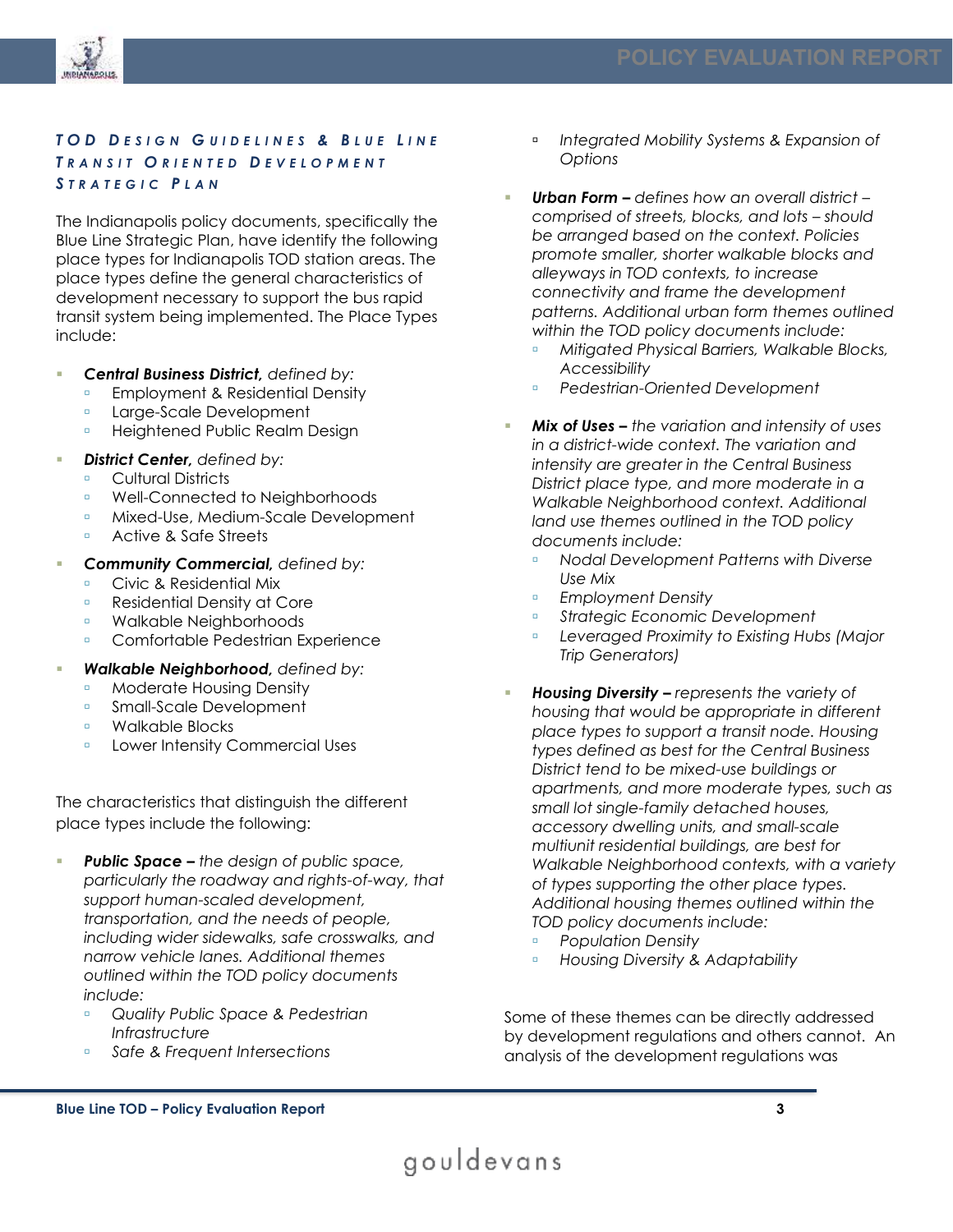

#### *T O D D E S I G N G U I D E L I N E S & B L U E L I N E T R A N S I T O R I E N T E D D E V E L O P M E N T STRATEGIC PLAN*

The Indianapolis policy documents, specifically the Blue Line Strategic Plan, have identify the following place types for Indianapolis TOD station areas. The place types define the general characteristics of development necessary to support the bus rapid transit system being implemented. The Place Types include:

- *Central Business District, defined by:*
	- **Employment & Residential Density**
	- **Large-Scale Development**
	- **Example 21 Heightened Public Realm Design**
	- **District Center, defined by:**
	- **Cultural Districts**
	- Well-Connected to Neighborhoods
	- Mixed-Use, Medium-Scale Development
	- Active & Safe Streets
- *Community Commercial, defined by:*
	- **Civic & Residential Mix**
	- Residential Density at Core
	- **B** Walkable Neighborhoods
	- Comfortable Pedestrian Experience
- *Walkable Neighborhood, defined by:* 
	- **Moderate Housing Density**
	- Small-Scale Development
	- **Blocks**
	- **Lower Intensity Commercial Uses**

The characteristics that distinguish the different place types include the following:

- **Public Space –** the design of public space, *particularly the roadway and rights-of-way, that support human-scaled development, transportation, and the needs of people, including wider sidewalks, safe crosswalks, and narrow vehicle lanes. Additional themes outlined within the TOD policy documents include:* 
	- *Quality Public Space & Pedestrian Infrastructure*
	- *Safe & Frequent Intersections*
- *Integrated Mobility Systems & Expansion of Options*
- *Urban Form – defines how an overall district – comprised of streets, blocks, and lots – should be arranged based on the context. Policies promote smaller, shorter walkable blocks and alleyways in TOD contexts, to increase connectivity and frame the development patterns. Additional urban form themes outlined within the TOD policy documents include:*
	- *Mitigated Physical Barriers, Walkable Blocks, Accessibility*
	- *Pedestrian-Oriented Development*
- *Mix of Uses – the variation and intensity of uses in a district-wide context. The variation and intensity are greater in the Central Business District place type, and more moderate in a Walkable Neighborhood context. Additional land use themes outlined in the TOD policy documents include:*
	- *Nodal Development Patterns with Diverse Use Mix*
	- *Employment Density*
	- *Strategic Economic Development*
	- *Leveraged Proximity to Existing Hubs (Major Trip Generators)*
- *Housing Diversity – represents the variety of housing that would be appropriate in different place types to support a transit node. Housing types defined as best for the Central Business District tend to be mixed-use buildings or apartments, and more moderate types, such as small lot single-family detached houses, accessory dwelling units, and small-scale multiunit residential buildings, are best for Walkable Neighborhood contexts, with a variety of types supporting the other place types. Additional housing themes outlined within the TOD policy documents include:*
	- *Population Density*
	- *Housing Diversity & Adaptability*

Some of these themes can be directly addressed by development regulations and others cannot. An analysis of the development regulations was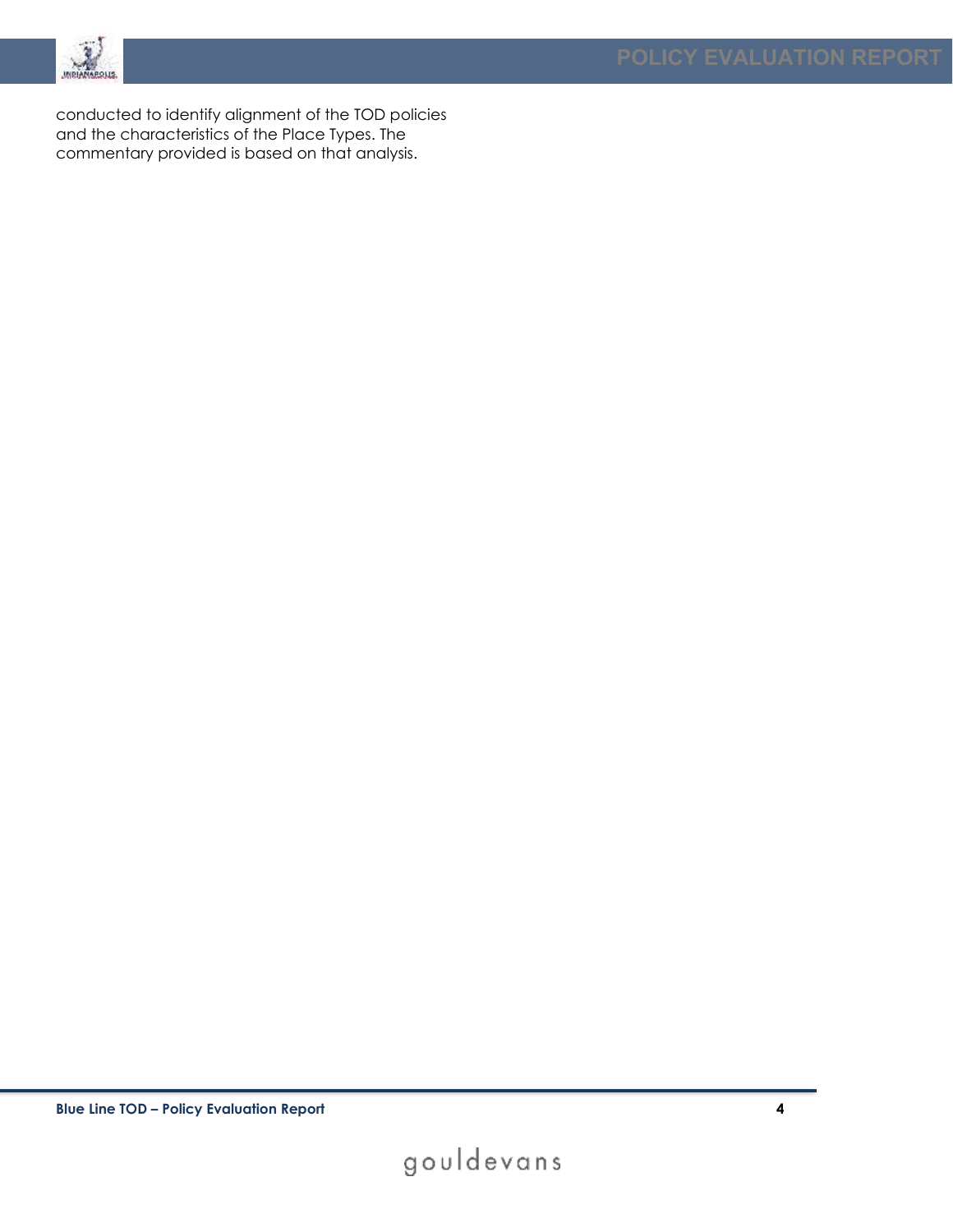

conducted to identify alignment of the TOD policies and the characteristics of the Place Types. The commentary provided is based on that analysis.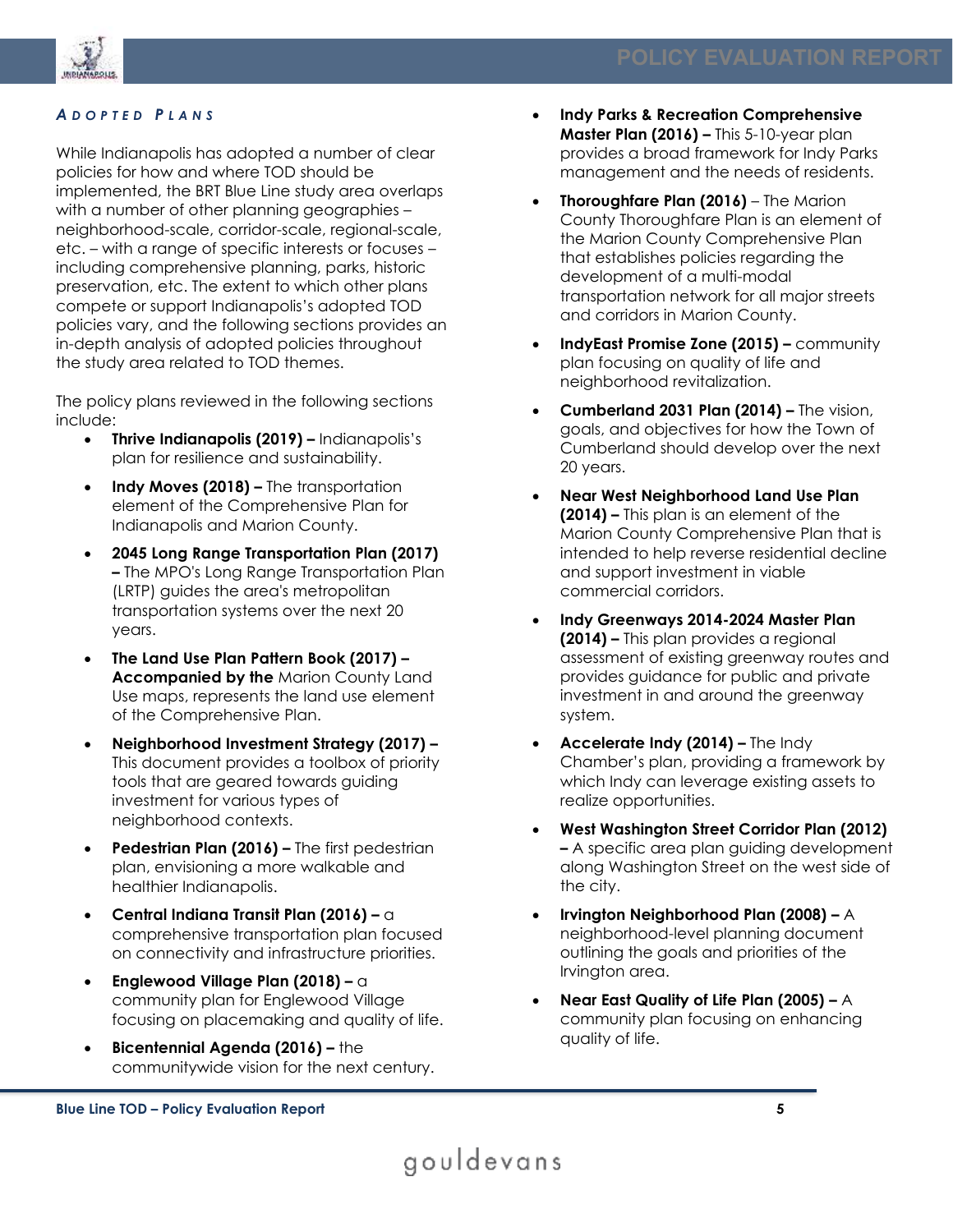

#### *A D O P T E D P L A N S*

While Indianapolis has adopted a number of clear policies for how and where TOD should be implemented, the BRT Blue Line study area overlaps with a number of other planning geographies – neighborhood-scale, corridor-scale, regional-scale, etc. – with a range of specific interests or focuses – including comprehensive planning, parks, historic preservation, etc. The extent to which other plans compete or support Indianapolis's adopted TOD policies vary, and the following sections provides an in-depth analysis of adopted policies throughout the study area related to TOD themes.

The policy plans reviewed in the following sections include:

- **Thrive Indianapolis (2019) –** Indianapolis's plan for resilience and sustainability.
- **Indy Moves (2018) –** The transportation element of the Comprehensive Plan for Indianapolis and Marion County.
- **2045 Long Range Transportation Plan (2017) –** The MPO's Long Range Transportation Plan (LRTP) guides the area's metropolitan transportation systems over the next 20 years.
- **The Land Use Plan Pattern Book (2017) – Accompanied by the** Marion County Land Use maps, represents the land use element of the Comprehensive Plan.
- **Neighborhood Investment Strategy (2017) –** This document provides a toolbox of priority tools that are geared towards guiding investment for various types of neighborhood contexts.
- **Pedestrian Plan (2016) –** The first pedestrian plan, envisioning a more walkable and healthier Indianapolis.
- **Central Indiana Transit Plan (2016) –** a comprehensive transportation plan focused on connectivity and infrastructure priorities.
- **Englewood Village Plan (2018) –** a community plan for Englewood Village focusing on placemaking and quality of life.
- **Bicentennial Agenda (2016) –** the communitywide vision for the next century.
- **Indy Parks & Recreation Comprehensive Master Plan (2016) –** This 5-10-year plan provides a broad framework for Indy Parks management and the needs of residents.
- **Thoroughfare Plan (2016)** The Marion County Thoroughfare Plan is an element of the Marion County Comprehensive Plan that establishes policies regarding the development of a multi-modal transportation network for all major streets and corridors in Marion County.
- **IndyEast Promise Zone (2015) –** community plan focusing on quality of life and neighborhood revitalization.
- **Cumberland 2031 Plan (2014) –** The vision, goals, and objectives for how the Town of Cumberland should develop over the next 20 years.
- **Near West Neighborhood Land Use Plan (2014) –** This plan is an element of the Marion County Comprehensive Plan that is intended to help reverse residential decline and support investment in viable commercial corridors.
- **Indy Greenways 2014-2024 Master Plan (2014) –** This plan provides a regional assessment of existing greenway routes and provides guidance for public and private investment in and around the greenway system.
- **Accelerate Indy (2014) –** The Indy Chamber's plan, providing a framework by which Indy can leverage existing assets to realize opportunities.
- **West Washington Street Corridor Plan (2012) –** A specific area plan guiding development along Washington Street on the west side of the city.
- **Irvington Neighborhood Plan (2008) –** A neighborhood-level planning document outlining the goals and priorities of the Irvington area.
- **Near East Quality of Life Plan (2005) –** A community plan focusing on enhancing quality of life.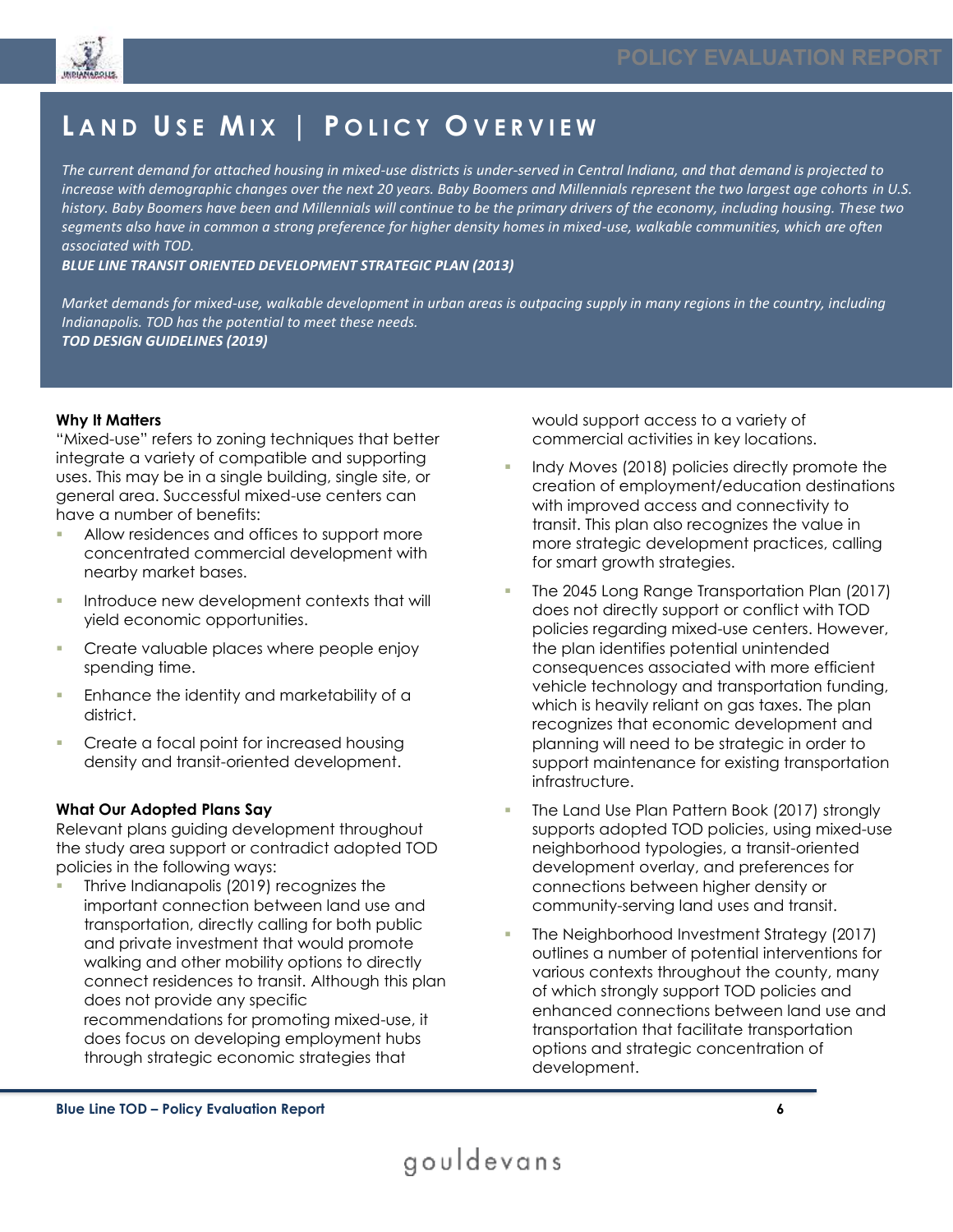

## **L A N D U SE M I X | P O L I C Y O V E R V I E W**

*The current demand for attached housing in mixed-use districts is under-served in Central Indiana, and that demand is projected to increase with demographic changes over the next 20 years. Baby Boomers and Millennials represent the two largest age cohorts in U.S. history. Baby Boomers have been and Millennials will continue to be the primary drivers of the economy, including housing. These two segments also have in common a strong preference for higher density homes in mixed-use, walkable communities, which are often associated with TOD.* 

*BLUE LINE TRANSIT ORIENTED DEVELOPMENT STRATEGIC PLAN (2013)*

*Market demands for mixed-use, walkable development in urban areas is outpacing supply in many regions in the country, including Indianapolis. TOD has the potential to meet these needs. TOD DESIGN GUIDELINES (2019)*

#### **Why It Matters**

"Mixed-use" refers to zoning techniques that better integrate a variety of compatible and supporting uses. This may be in a single building, single site, or general area. Successful mixed-use centers can have a number of benefits:

- Allow residences and offices to support more concentrated commercial development with nearby market bases.
- **Introduce new development contexts that will** yield economic opportunities.
- Create valuable places where people enjoy spending time.
- Enhance the identity and marketability of a district.
- Create a focal point for increased housing density and transit-oriented development.

#### **What Our Adopted Plans Say**

Relevant plans guiding development throughout the study area support or contradict adopted TOD policies in the following ways:

Thrive Indianapolis (2019) recognizes the important connection between land use and transportation, directly calling for both public and private investment that would promote walking and other mobility options to directly connect residences to transit. Although this plan does not provide any specific recommendations for promoting mixed-use, it does focus on developing employment hubs through strategic economic strategies that

would support access to a variety of commercial activities in key locations.

- Indy Moves (2018) policies directly promote the creation of employment/education destinations with improved access and connectivity to transit. This plan also recognizes the value in more strategic development practices, calling for smart growth strategies.
- The 2045 Long Range Transportation Plan (2017) does not directly support or conflict with TOD policies regarding mixed-use centers. However, the plan identifies potential unintended consequences associated with more efficient vehicle technology and transportation funding, which is heavily reliant on gas taxes. The plan recognizes that economic development and planning will need to be strategic in order to support maintenance for existing transportation infrastructure.
- The Land Use Plan Pattern Book (2017) strongly supports adopted TOD policies, using mixed-use neighborhood typologies, a transit-oriented development overlay, and preferences for connections between higher density or community-serving land uses and transit.
- The Neighborhood Investment Strategy (2017) outlines a number of potential interventions for various contexts throughout the county, many of which strongly support TOD policies and enhanced connections between land use and transportation that facilitate transportation options and strategic concentration of development.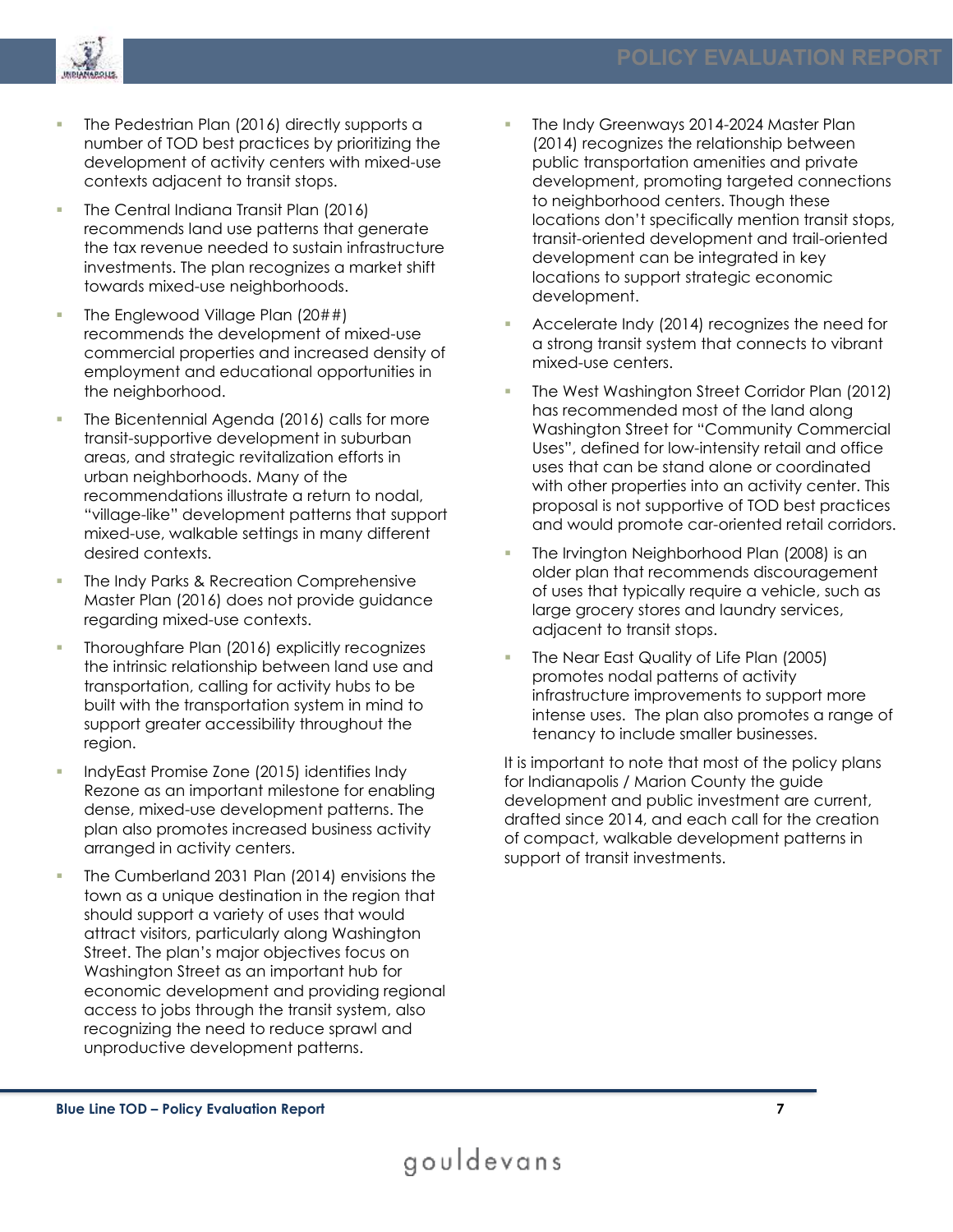

- The Pedestrian Plan (2016) directly supports a number of TOD best practices by prioritizing the development of activity centers with mixed-use contexts adjacent to transit stops.
- The Central Indiana Transit Plan (2016) recommends land use patterns that generate the tax revenue needed to sustain infrastructure investments. The plan recognizes a market shift towards mixed-use neighborhoods.
- The Englewood Village Plan  $(20##)$ recommends the development of mixed-use commercial properties and increased density of employment and educational opportunities in the neighborhood.
- The Bicentennial Agenda (2016) calls for more transit-supportive development in suburban areas, and strategic revitalization efforts in urban neighborhoods. Many of the recommendations illustrate a return to nodal, "village-like" development patterns that support mixed-use, walkable settings in many different desired contexts.
- The Indy Parks & Recreation Comprehensive Master Plan (2016) does not provide guidance regarding mixed-use contexts.
- Thoroughfare Plan (2016) explicitly recognizes the intrinsic relationship between land use and transportation, calling for activity hubs to be built with the transportation system in mind to support greater accessibility throughout the region.
- IndyEast Promise Zone (2015) identifies Indy Rezone as an important milestone for enabling dense, mixed-use development patterns. The plan also promotes increased business activity arranged in activity centers.
- The Cumberland 2031 Plan (2014) envisions the town as a unique destination in the region that should support a variety of uses that would attract visitors, particularly along Washington Street. The plan's major objectives focus on Washington Street as an important hub for economic development and providing regional access to jobs through the transit system, also recognizing the need to reduce sprawl and unproductive development patterns.
- The Indy Greenways 2014-2024 Master Plan (2014) recognizes the relationship between public transportation amenities and private development, promoting targeted connections to neighborhood centers. Though these locations don't specifically mention transit stops, transit-oriented development and trail-oriented development can be integrated in key locations to support strategic economic development.
- Accelerate Indy (2014) recognizes the need for a strong transit system that connects to vibrant mixed-use centers.
- The West Washington Street Corridor Plan (2012) has recommended most of the land along Washington Street for "Community Commercial Uses", defined for low-intensity retail and office uses that can be stand alone or coordinated with other properties into an activity center. This proposal is not supportive of TOD best practices and would promote car-oriented retail corridors.
- The Irvington Neighborhood Plan (2008) is an older plan that recommends discouragement of uses that typically require a vehicle, such as large grocery stores and laundry services, adjacent to transit stops.
- The Near East Quality of Life Plan (2005) promotes nodal patterns of activity infrastructure improvements to support more intense uses. The plan also promotes a range of tenancy to include smaller businesses.

It is important to note that most of the policy plans for Indianapolis / Marion County the guide development and public investment are current, drafted since 2014, and each call for the creation of compact, walkable development patterns in support of transit investments.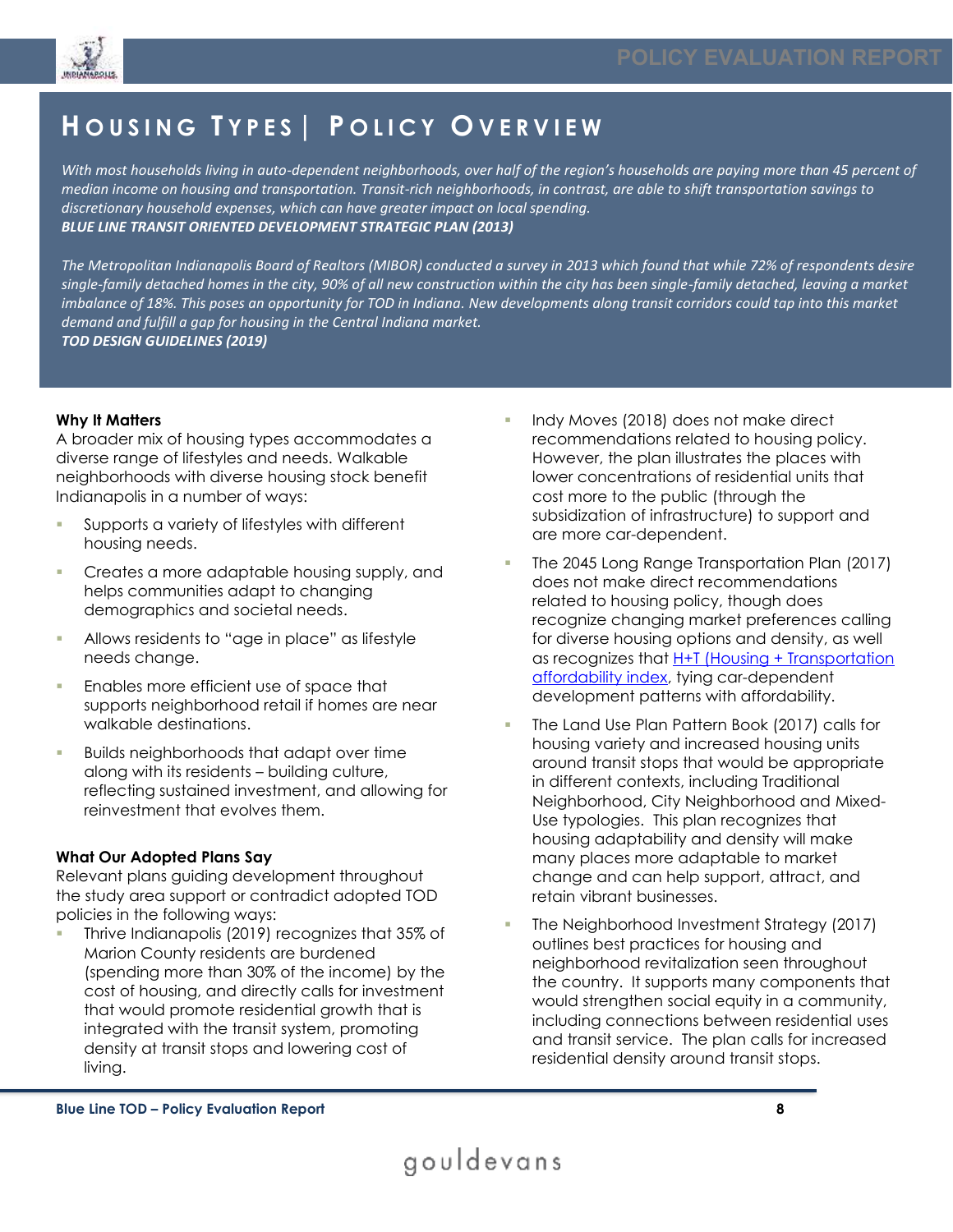

## **H O U S I N G T Y P E S | P O L I C Y O V E R V I E W**

*With most households living in auto-dependent neighborhoods, over half of the region's households are paying more than 45 percent of median income on housing and transportation. Transit-rich neighborhoods, in contrast, are able to shift transportation savings to discretionary household expenses, which can have greater impact on local spending. BLUE LINE TRANSIT ORIENTED DEVELOPMENT STRATEGIC PLAN (2013)*

*The Metropolitan Indianapolis Board of Realtors (MIBOR) conducted a survey in 2013 which found that while 72% of respondents desire single-family detached homes in the city, 90% of all new construction within the city has been single-family detached, leaving a market imbalance of 18%. This poses an opportunity for TOD in Indiana. New developments along transit corridors could tap into this market demand and fulfill a gap for housing in the Central Indiana market. TOD DESIGN GUIDELINES (2019)*

#### **Why It Matters**

A broader mix of housing types accommodates a diverse range of lifestyles and needs. Walkable neighborhoods with diverse housing stock benefit Indianapolis in a number of ways:

- Supports a variety of lifestyles with different housing needs.
- Creates a more adaptable housing supply, and helps communities adapt to changing demographics and societal needs.
- Allows residents to "age in place" as lifestyle needs change.
- Enables more efficient use of space that supports neighborhood retail if homes are near walkable destinations.
- Builds neighborhoods that adapt over time along with its residents – building culture, reflecting sustained investment, and allowing for reinvestment that evolves them.

#### **What Our Adopted Plans Say**

Relevant plans guiding development throughout the study area support or contradict adopted TOD policies in the following ways:

▪ Thrive Indianapolis (2019) recognizes that 35% of Marion County residents are burdened (spending more than 30% of the income) by the cost of housing, and directly calls for investment that would promote residential growth that is integrated with the transit system, promoting density at transit stops and lowering cost of living.

- Indy Moves (2018) does not make direct recommendations related to housing policy. However, the plan illustrates the places with lower concentrations of residential units that cost more to the public (through the subsidization of infrastructure) to support and are more car-dependent.
- The 2045 Long Range Transportation Plan (2017) does not make direct recommendations related to housing policy, though does recognize changing market preferences calling for diverse housing options and density, as well as recognizes that **H+T** [\(Housing + Transportation](https://htaindex.cnt.org/map/) [affordability index,](https://htaindex.cnt.org/map/) tying car-dependent development patterns with affordability.
- The Land Use Plan Pattern Book (2017) calls for housing variety and increased housing units around transit stops that would be appropriate in different contexts, including Traditional Neighborhood, City Neighborhood and Mixed-Use typologies. This plan recognizes that housing adaptability and density will make many places more adaptable to market change and can help support, attract, and retain vibrant businesses.
- The Neighborhood Investment Strategy (2017) outlines best practices for housing and neighborhood revitalization seen throughout the country. It supports many components that would strengthen social equity in a community, including connections between residential uses and transit service. The plan calls for increased residential density around transit stops.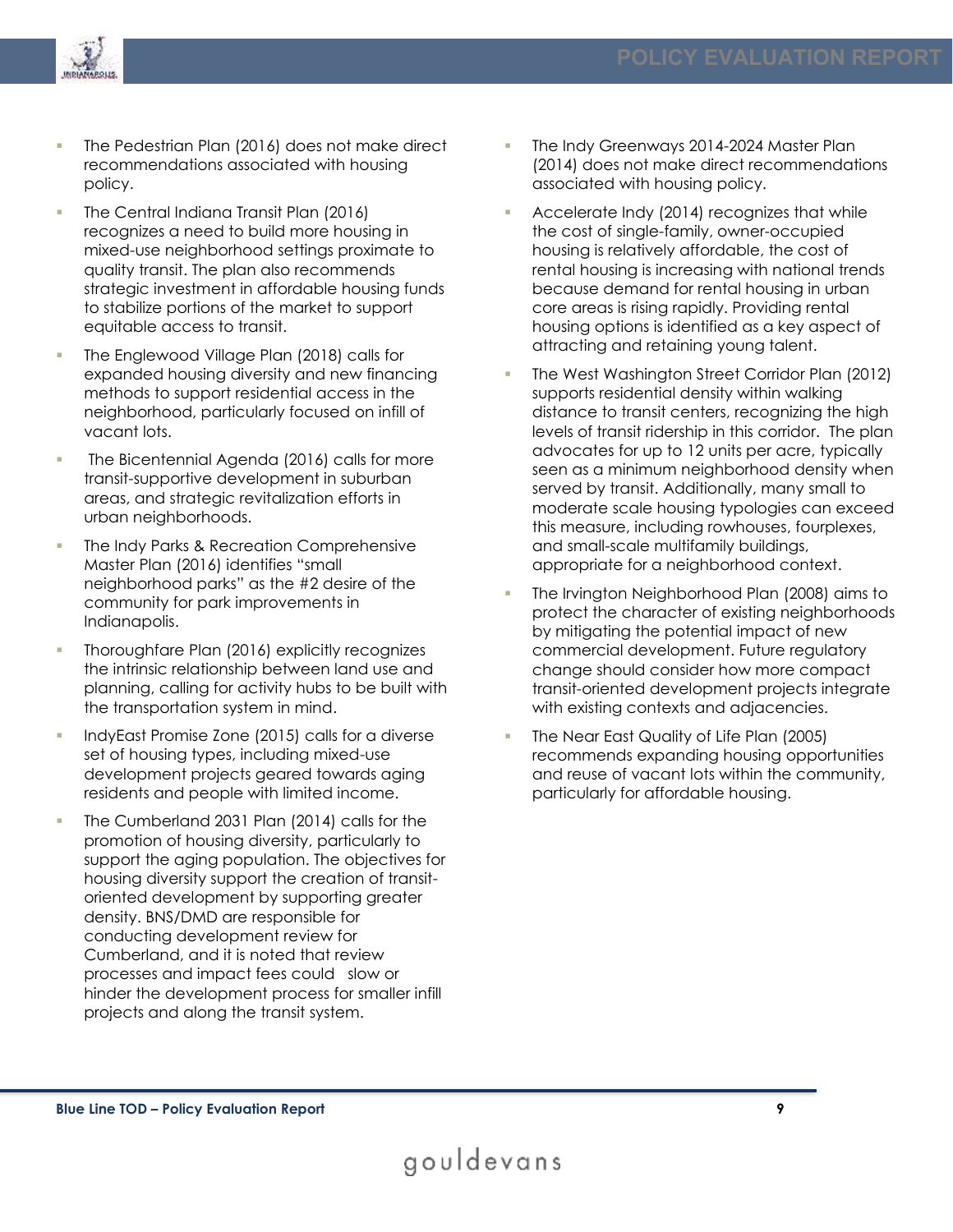

- The Pedestrian Plan (2016) does not make direct recommendations associated with housing policy.
- The Central Indiana Transit Plan (2016) recognizes a need to build more housing in mixed-use neighborhood settings proximate to quality transit. The plan also recommends strategic investment in affordable housing funds to stabilize portions of the market to support equitable access to transit.
- The Englewood Village Plan (2018) calls for expanded housing diversity and new financing methods to support residential access in the neighborhood, particularly focused on infill of vacant lots.
- The Bicentennial Agenda (2016) calls for more transit-supportive development in suburban areas, and strategic revitalization efforts in urban neighborhoods.
- The Indy Parks & Recreation Comprehensive Master Plan (2016) identifies "small neighborhood parks" as the #2 desire of the community for park improvements in Indianapolis.
- Thoroughfare Plan (2016) explicitly recognizes the intrinsic relationship between land use and planning, calling for activity hubs to be built with the transportation system in mind.
- IndyEast Promise Zone (2015) calls for a diverse set of housing types, including mixed-use development projects geared towards aging residents and people with limited income.
- The Cumberland 2031 Plan (2014) calls for the promotion of housing diversity, particularly to support the aging population. The objectives for housing diversity support the creation of transitoriented development by supporting greater density. BNS/DMD are responsible for conducting development review for Cumberland, and it is noted that review processes and impact fees could slow or hinder the development process for smaller infill projects and along the transit system.
- The Indy Greenways 2014-2024 Master Plan (2014) does not make direct recommendations associated with housing policy.
- Accelerate Indy (2014) recognizes that while the cost of single-family, owner-occupied housing is relatively affordable, the cost of rental housing is increasing with national trends because demand for rental housing in urban core areas is rising rapidly. Providing rental housing options is identified as a key aspect of attracting and retaining young talent.
- The West Washington Street Corridor Plan (2012) supports residential density within walking distance to transit centers, recognizing the high levels of transit ridership in this corridor. The plan advocates for up to 12 units per acre, typically seen as a minimum neighborhood density when served by transit. Additionally, many small to moderate scale housing typologies can exceed this measure, including rowhouses, fourplexes, and small-scale multifamily buildings, appropriate for a neighborhood context.
- The Irvington Neighborhood Plan (2008) aims to protect the character of existing neighborhoods by mitigating the potential impact of new commercial development. Future regulatory change should consider how more compact transit-oriented development projects integrate with existing contexts and adjacencies.
- The Near East Quality of Life Plan (2005) recommends expanding housing opportunities and reuse of vacant lots within the community, particularly for affordable housing.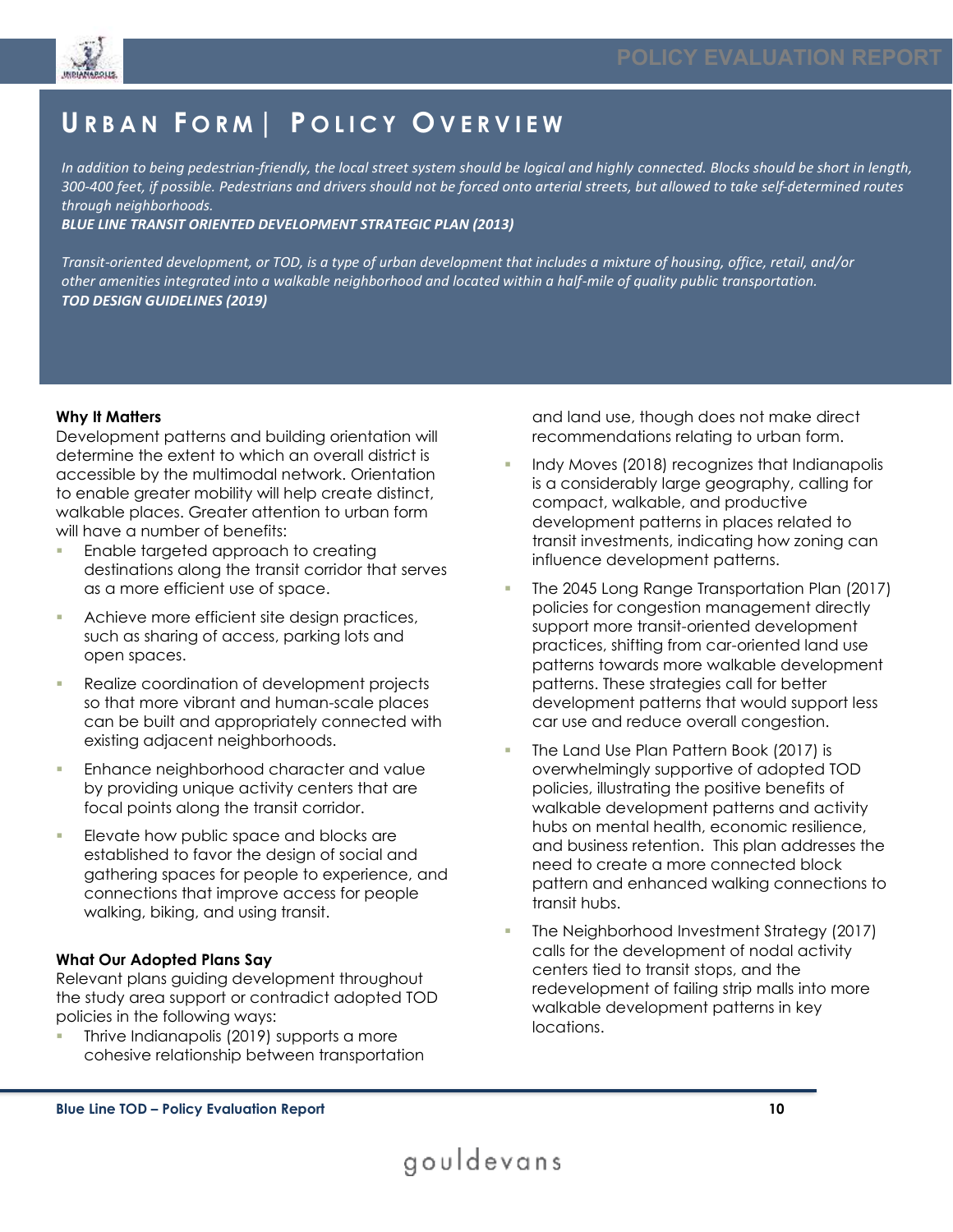

### **U R B A N F O R M | P O L I C Y O V E R V I E W**

*In addition to being pedestrian-friendly, the local street system should be logical and highly connected. Blocks should be short in length, 300-400 feet, if possible. Pedestrians and drivers should not be forced onto arterial streets, but allowed to take self-determined routes through neighborhoods.*

*BLUE LINE TRANSIT ORIENTED DEVELOPMENT STRATEGIC PLAN (2013)*

*Transit-oriented development, or TOD, is a type of urban development that includes a mixture of housing, office, retail, and/or other amenities integrated into a walkable neighborhood and located within a half-mile of quality public transportation. TOD DESIGN GUIDELINES (2019)*

#### **Why It Matters**

Development patterns and building orientation will determine the extent to which an overall district is accessible by the multimodal network. Orientation to enable greater mobility will help create distinct, walkable places. Greater attention to urban form will have a number of benefits:

- Enable targeted approach to creating destinations along the transit corridor that serves as a more efficient use of space.
- **EXEC** Achieve more efficient site design practices, such as sharing of access, parking lots and open spaces.
- **Realize coordination of development projects** so that more vibrant and human-scale places can be built and appropriately connected with existing adjacent neighborhoods.
- Enhance neighborhood character and value by providing unique activity centers that are focal points along the transit corridor.
- Elevate how public space and blocks are established to favor the design of social and gathering spaces for people to experience, and connections that improve access for people walking, biking, and using transit.

#### **What Our Adopted Plans Say**

Relevant plans guiding development throughout the study area support or contradict adopted TOD policies in the following ways:

Thrive Indianapolis (2019) supports a more cohesive relationship between transportation

and land use, though does not make direct recommendations relating to urban form.

- Indy Moves (2018) recognizes that Indianapolis is a considerably large geography, calling for compact, walkable, and productive development patterns in places related to transit investments, indicating how zoning can influence development patterns.
- The 2045 Long Range Transportation Plan (2017) policies for congestion management directly support more transit-oriented development practices, shifting from car-oriented land use patterns towards more walkable development patterns. These strategies call for better development patterns that would support less car use and reduce overall congestion.
- The Land Use Plan Pattern Book (2017) is overwhelmingly supportive of adopted TOD policies, illustrating the positive benefits of walkable development patterns and activity hubs on mental health, economic resilience, and business retention. This plan addresses the need to create a more connected block pattern and enhanced walking connections to transit hubs.
- The Neighborhood Investment Strategy (2017) calls for the development of nodal activity centers tied to transit stops, and the redevelopment of failing strip malls into more walkable development patterns in key locations.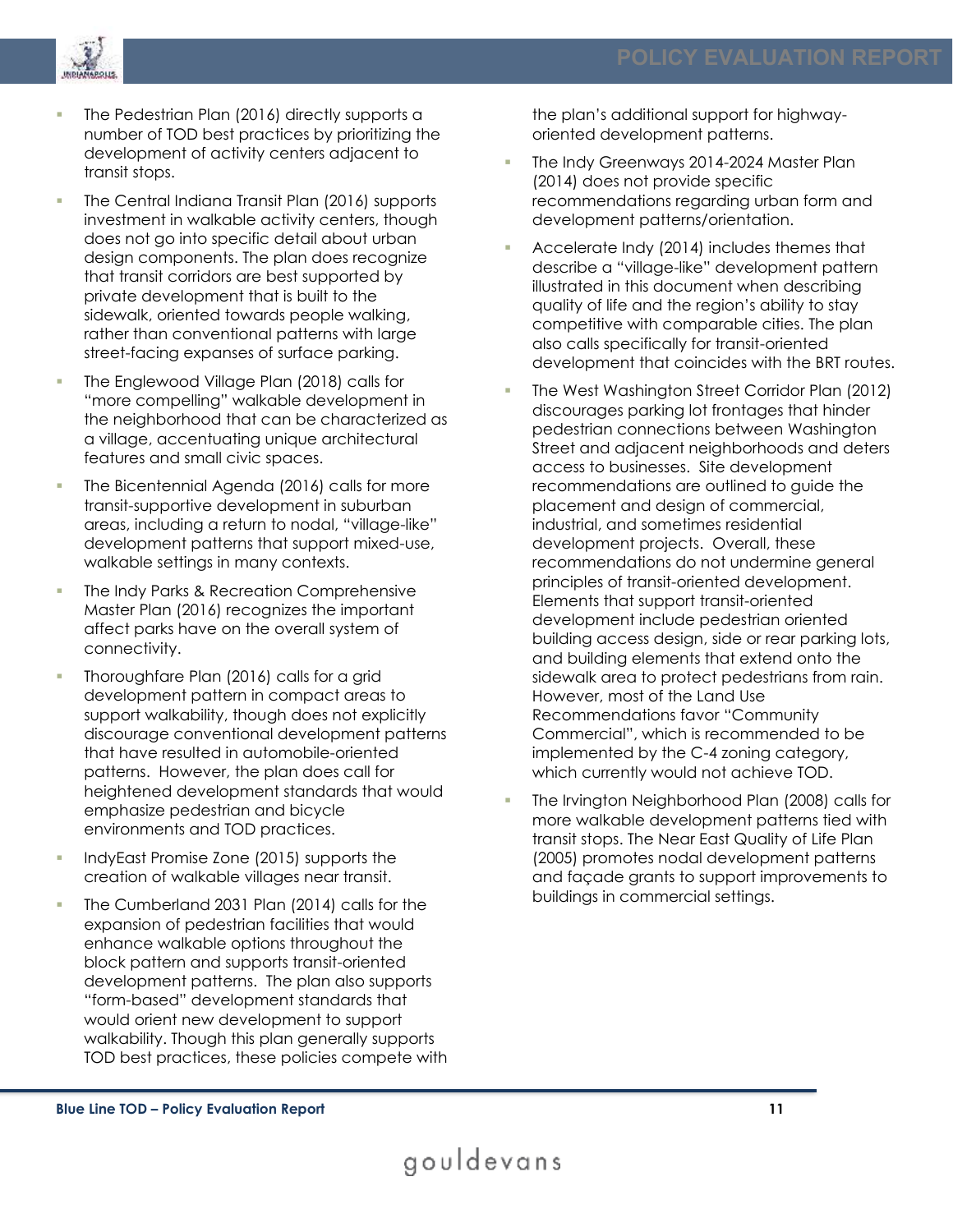

- The Pedestrian Plan (2016) directly supports a number of TOD best practices by prioritizing the development of activity centers adjacent to transit stops.
- The Central Indiana Transit Plan (2016) supports investment in walkable activity centers, though does not go into specific detail about urban design components. The plan does recognize that transit corridors are best supported by private development that is built to the sidewalk, oriented towards people walking, rather than conventional patterns with large street-facing expanses of surface parking.
- The Englewood Village Plan (2018) calls for "more compelling" walkable development in the neighborhood that can be characterized as a village, accentuating unique architectural features and small civic spaces.
- The Bicentennial Agenda (2016) calls for more transit-supportive development in suburban areas, including a return to nodal, "village-like" development patterns that support mixed-use, walkable settings in many contexts.
- The Indy Parks & Recreation Comprehensive Master Plan (2016) recognizes the important affect parks have on the overall system of connectivity.
- Thoroughfare Plan (2016) calls for a grid development pattern in compact areas to support walkability, though does not explicitly discourage conventional development patterns that have resulted in automobile-oriented patterns. However, the plan does call for heightened development standards that would emphasize pedestrian and bicycle environments and TOD practices.
- IndyEast Promise Zone (2015) supports the creation of walkable villages near transit.
- The Cumberland 2031 Plan (2014) calls for the expansion of pedestrian facilities that would enhance walkable options throughout the block pattern and supports transit-oriented development patterns. The plan also supports "form-based" development standards that would orient new development to support walkability. Though this plan generally supports TOD best practices, these policies compete with

the plan's additional support for highwayoriented development patterns.

- The Indy Greenways 2014-2024 Master Plan (2014) does not provide specific recommendations regarding urban form and development patterns/orientation.
- Accelerate Indy (2014) includes themes that describe a "village-like" development pattern illustrated in this document when describing quality of life and the region's ability to stay competitive with comparable cities. The plan also calls specifically for transit-oriented development that coincides with the BRT routes.
- The West Washington Street Corridor Plan (2012) discourages parking lot frontages that hinder pedestrian connections between Washington Street and adjacent neighborhoods and deters access to businesses. Site development recommendations are outlined to guide the placement and design of commercial, industrial, and sometimes residential development projects. Overall, these recommendations do not undermine general principles of transit-oriented development. Elements that support transit-oriented development include pedestrian oriented building access design, side or rear parking lots, and building elements that extend onto the sidewalk area to protect pedestrians from rain. However, most of the Land Use Recommendations favor "Community Commercial", which is recommended to be implemented by the C-4 zoning category, which currently would not achieve TOD.
- The Irvington Neighborhood Plan (2008) calls for more walkable development patterns tied with transit stops. The Near East Quality of Life Plan (2005) promotes nodal development patterns and façade grants to support improvements to buildings in commercial settings.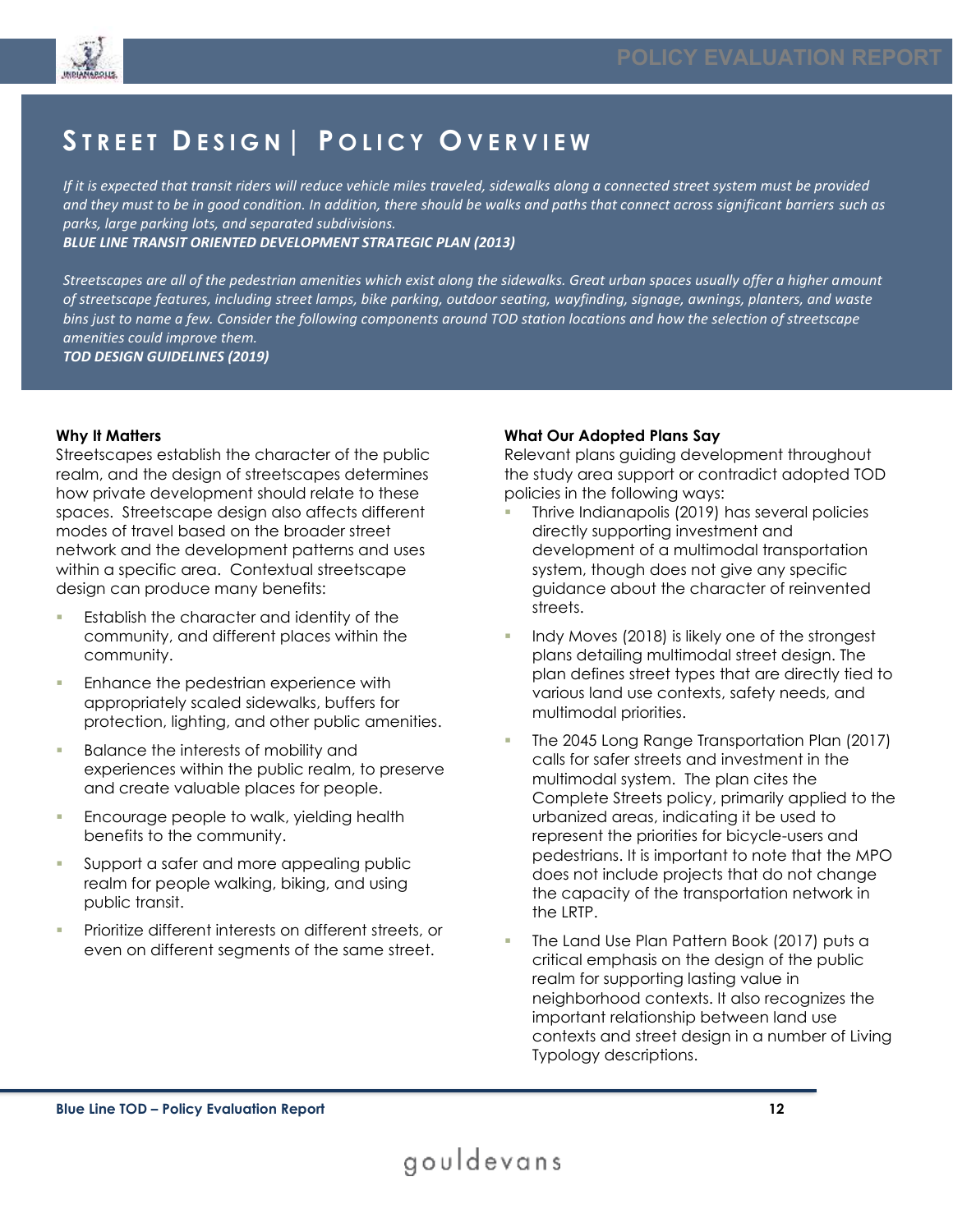

## **S T R E E T D E S I G N | P O L I C Y O V E R V I E W**

*If it is expected that transit riders will reduce vehicle miles traveled, sidewalks along a connected street system must be provided and they must to be in good condition. In addition, there should be walks and paths that connect across significant barriers such as parks, large parking lots, and separated subdivisions.*

*BLUE LINE TRANSIT ORIENTED DEVELOPMENT STRATEGIC PLAN (2013)*

*Streetscapes are all of the pedestrian amenities which exist along the sidewalks. Great urban spaces usually offer a higher amount of streetscape features, including street lamps, bike parking, outdoor seating, wayfinding, signage, awnings, planters, and waste bins just to name a few. Consider the following components around TOD station locations and how the selection of streetscape amenities could improve them.*

*TOD DESIGN GUIDELINES (2019)*

#### **Why It Matters**

Streetscapes establish the character of the public realm, and the design of streetscapes determines how private development should relate to these spaces. Streetscape design also affects different modes of travel based on the broader street network and the development patterns and uses within a specific area. Contextual streetscape design can produce many benefits:

- **Establish the character and identity of the** community, and different places within the community.
- Enhance the pedestrian experience with appropriately scaled sidewalks, buffers for protection, lighting, and other public amenities.
- Balance the interests of mobility and experiences within the public realm, to preserve and create valuable places for people.
- Encourage people to walk, yielding health benefits to the community.
- Support a safer and more appealing public realm for people walking, biking, and using public transit.
- Prioritize different interests on different streets, or even on different segments of the same street.

#### **What Our Adopted Plans Say**

Relevant plans guiding development throughout the study area support or contradict adopted TOD policies in the following ways:

- Thrive Indianapolis (2019) has several policies directly supporting investment and development of a multimodal transportation system, though does not give any specific guidance about the character of reinvented streets.
- Indy Moves (2018) is likely one of the strongest plans detailing multimodal street design. The plan defines street types that are directly tied to various land use contexts, safety needs, and multimodal priorities.
- The 2045 Long Range Transportation Plan (2017) calls for safer streets and investment in the multimodal system. The plan cites the Complete Streets policy, primarily applied to the urbanized areas, indicating it be used to represent the priorities for bicycle-users and pedestrians. It is important to note that the MPO does not include projects that do not change the capacity of the transportation network in the LRTP.
- The Land Use Plan Pattern Book (2017) puts a critical emphasis on the design of the public realm for supporting lasting value in neighborhood contexts. It also recognizes the important relationship between land use contexts and street design in a number of Living Typology descriptions.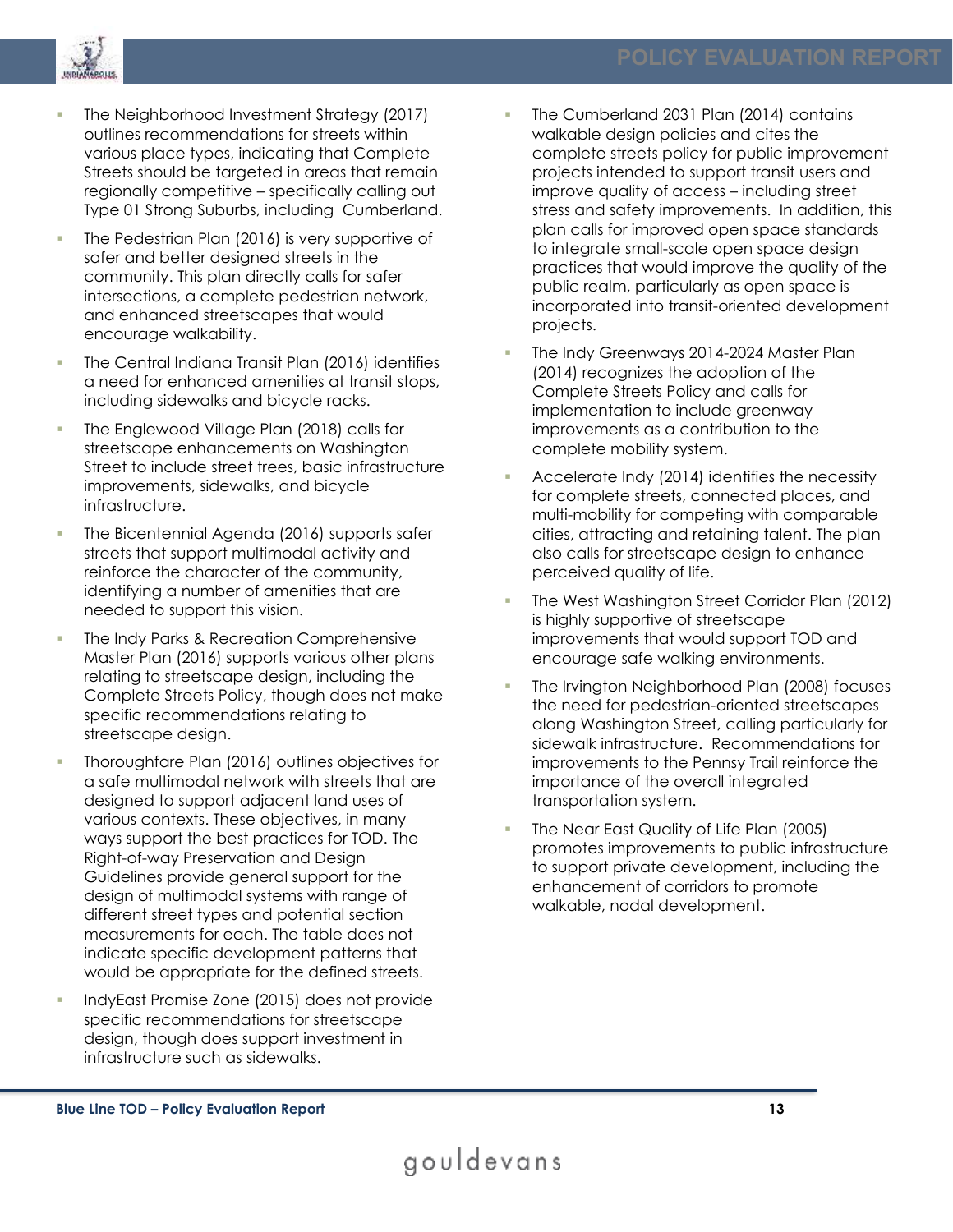

- The Neighborhood Investment Strategy (2017) outlines recommendations for streets within various place types, indicating that Complete Streets should be targeted in areas that remain regionally competitive – specifically calling out Type 01 Strong Suburbs, including Cumberland.
- The Pedestrian Plan (2016) is very supportive of safer and better designed streets in the community. This plan directly calls for safer intersections, a complete pedestrian network, and enhanced streetscapes that would encourage walkability.
- The Central Indiana Transit Plan (2016) identifies a need for enhanced amenities at transit stops, including sidewalks and bicycle racks.
- The Englewood Village Plan (2018) calls for streetscape enhancements on Washington Street to include street trees, basic infrastructure improvements, sidewalks, and bicycle infrastructure.
- The Bicentennial Agenda (2016) supports safer streets that support multimodal activity and reinforce the character of the community, identifying a number of amenities that are needed to support this vision.
- The Indy Parks & Recreation Comprehensive Master Plan (2016) supports various other plans relating to streetscape design, including the Complete Streets Policy, though does not make specific recommendations relating to streetscape design.
- Thoroughfare Plan (2016) outlines objectives for a safe multimodal network with streets that are designed to support adjacent land uses of various contexts. These objectives, in many ways support the best practices for TOD. The Right-of-way Preservation and Design Guidelines provide general support for the design of multimodal systems with range of different street types and potential section measurements for each. The table does not indicate specific development patterns that would be appropriate for the defined streets.
- IndyEast Promise Zone (2015) does not provide specific recommendations for streetscape design, though does support investment in infrastructure such as sidewalks.
- The Cumberland 2031 Plan (2014) contains walkable design policies and cites the complete streets policy for public improvement projects intended to support transit users and improve quality of access – including street stress and safety improvements. In addition, this plan calls for improved open space standards to integrate small-scale open space design practices that would improve the quality of the public realm, particularly as open space is incorporated into transit-oriented development projects.
- The Indy Greenways 2014-2024 Master Plan (2014) recognizes the adoption of the Complete Streets Policy and calls for implementation to include greenway improvements as a contribution to the complete mobility system.
- Accelerate Indy (2014) identifies the necessity for complete streets, connected places, and multi-mobility for competing with comparable cities, attracting and retaining talent. The plan also calls for streetscape design to enhance perceived quality of life.
- The West Washington Street Corridor Plan (2012) is highly supportive of streetscape improvements that would support TOD and encourage safe walking environments.
- The Irvington Neighborhood Plan (2008) focuses the need for pedestrian-oriented streetscapes along Washington Street, calling particularly for sidewalk infrastructure. Recommendations for improvements to the Pennsy Trail reinforce the importance of the overall integrated transportation system.
- The Near East Quality of Life Plan (2005) promotes improvements to public infrastructure to support private development, including the enhancement of corridors to promote walkable, nodal development.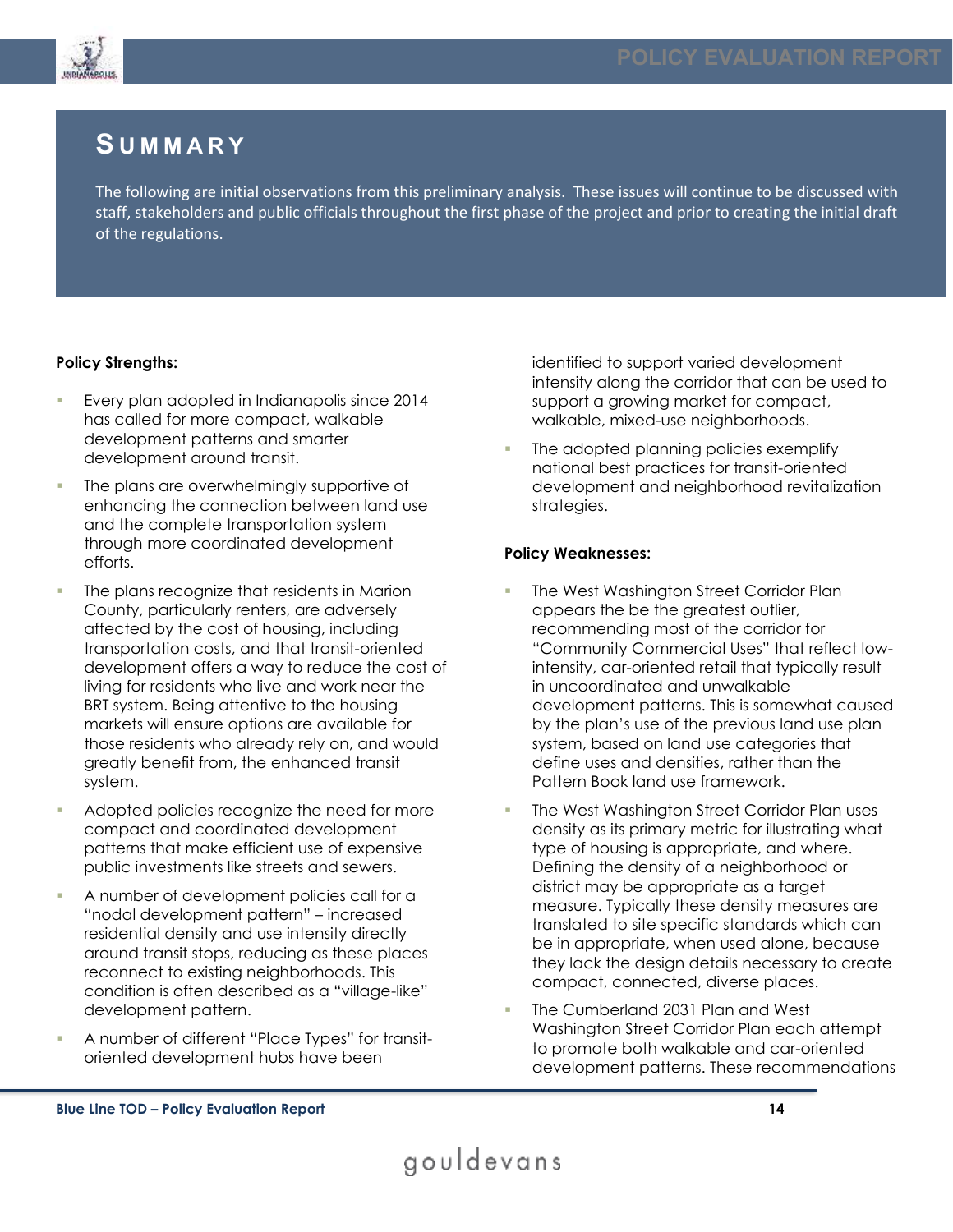

### **S U M M A R Y**

The following are initial observations from this preliminary analysis. These issues will continue to be discussed with staff, stakeholders and public officials throughout the first phase of the project and prior to creating the initial draft of the regulations.

#### **Policy Strengths:**

- Every plan adopted in Indianapolis since 2014 has called for more compact, walkable development patterns and smarter development around transit.
- The plans are overwhelmingly supportive of enhancing the connection between land use and the complete transportation system through more coordinated development efforts.
- The plans recognize that residents in Marion County, particularly renters, are adversely affected by the cost of housing, including transportation costs, and that transit-oriented development offers a way to reduce the cost of living for residents who live and work near the BRT system. Being attentive to the housing markets will ensure options are available for those residents who already rely on, and would greatly benefit from, the enhanced transit system.
- Adopted policies recognize the need for more compact and coordinated development patterns that make efficient use of expensive public investments like streets and sewers.
- A number of development policies call for a "nodal development pattern" – increased residential density and use intensity directly around transit stops, reducing as these places reconnect to existing neighborhoods. This condition is often described as a "village-like" development pattern.
- A number of different "Place Types" for transitoriented development hubs have been

identified to support varied development intensity along the corridor that can be used to support a growing market for compact, walkable, mixed-use neighborhoods.

The adopted planning policies exemplify national best practices for transit-oriented development and neighborhood revitalization strategies.

#### **Policy Weaknesses:**

- The West Washington Street Corridor Plan appears the be the greatest outlier, recommending most of the corridor for "Community Commercial Uses" that reflect lowintensity, car-oriented retail that typically result in uncoordinated and unwalkable development patterns. This is somewhat caused by the plan's use of the previous land use plan system, based on land use categories that define uses and densities, rather than the Pattern Book land use framework.
- The West Washington Street Corridor Plan uses density as its primary metric for illustrating what type of housing is appropriate, and where. Defining the density of a neighborhood or district may be appropriate as a target measure. Typically these density measures are translated to site specific standards which can be in appropriate, when used alone, because they lack the design details necessary to create compact, connected, diverse places.
- The Cumberland 2031 Plan and West Washington Street Corridor Plan each attempt to promote both walkable and car-oriented development patterns. These recommendations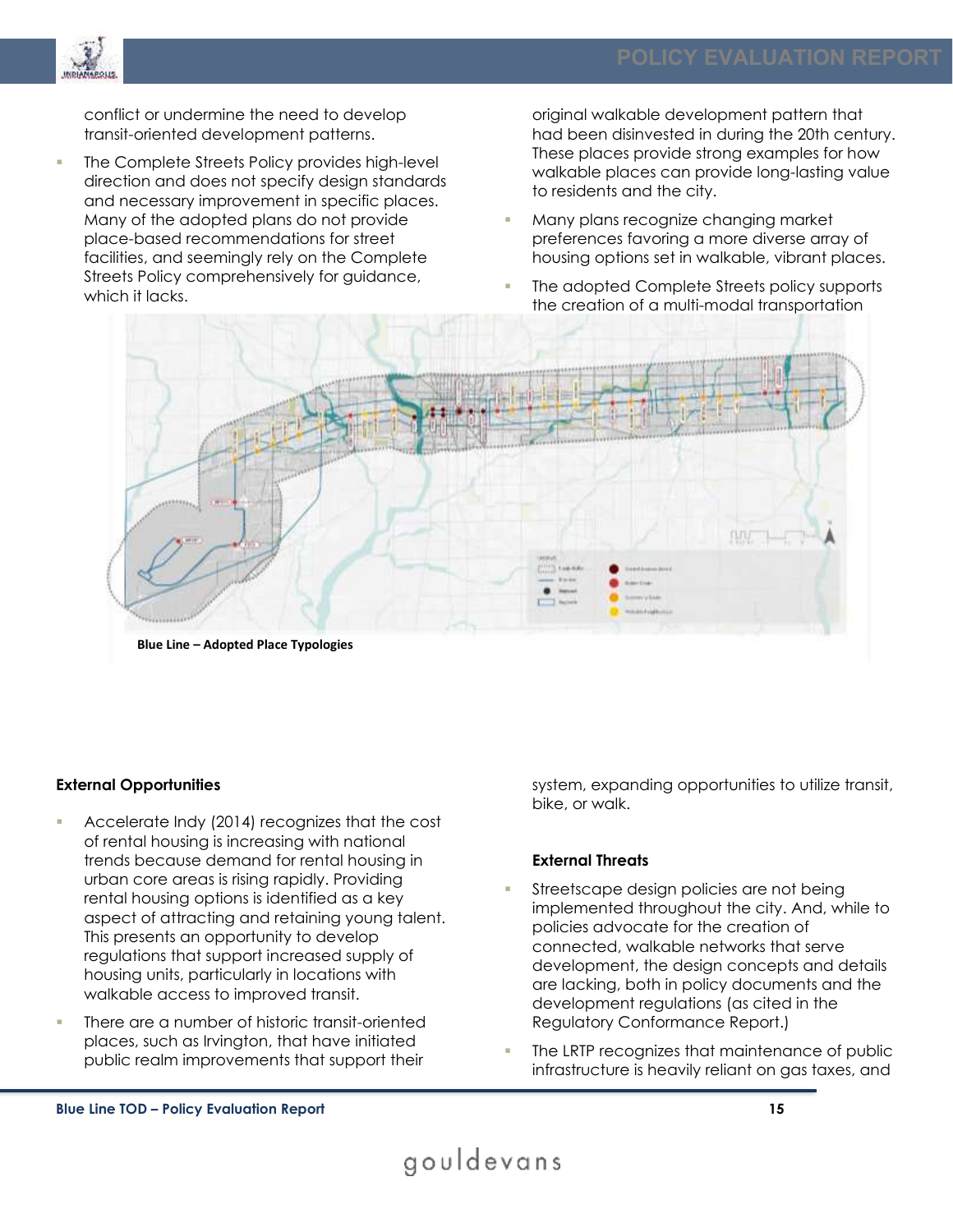

conflict or undermine the need to develop transit-oriented development patterns.

The Complete Streets Policy provides high-level direction and does not specify design standards and necessary improvement in specific places. Many of the adopted plans do not provide place-based recommendations for street facilities, and seemingly rely on the Complete Streets Policy comprehensively for guidance, which it lacks.

original walkable development pattern that had been disinvested in during the 20th century. These places provide strong examples for how walkable places can provide long-lasting value to residents and the city.

- Many plans recognize changing market preferences favoring a more diverse array of housing options set in walkable, vibrant places.
- The adopted Complete Streets policy supports the creation of a multi-modal transportation



**Blue Line – Adopted Place Typologies** 

#### **External Opportunities**

- Accelerate Indy (2014) recognizes that the cost of rental housing is increasing with national trends because demand for rental housing in urban core areas is rising rapidly. Providing rental housing options is identified as a key aspect of attracting and retaining young talent. This presents an opportunity to develop regulations that support increased supply of housing units, particularly in locations with walkable access to improved transit.
- There are a number of historic transit-oriented places, such as Irvington, that have initiated public realm improvements that support their

system, expanding opportunities to utilize transit, bike, or walk.

#### **External Threats**

- Streetscape design policies are not being implemented throughout the city. And, while to policies advocate for the creation of connected, walkable networks that serve development, the design concepts and details are lacking, both in policy documents and the development regulations (as cited in the Regulatory Conformance Report.)
- The LRTP recognizes that maintenance of public infrastructure is heavily reliant on gas taxes, and